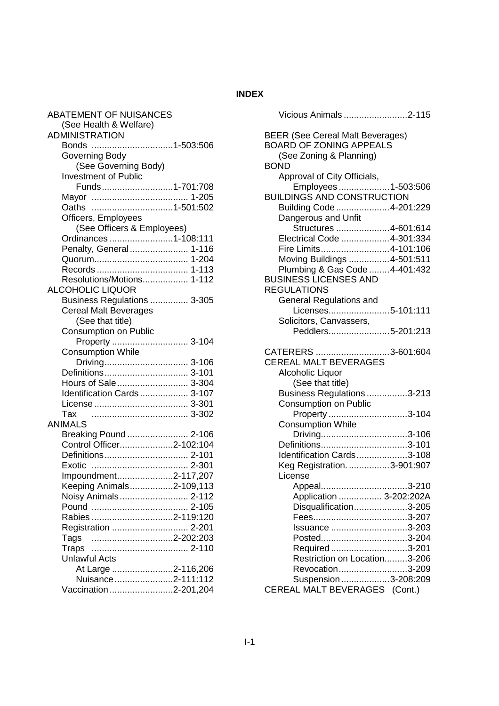## **INDEX**

| <b>ABATEMENT OF NUISANCES</b><br>(See Health & Welfare) |
|---------------------------------------------------------|
| <b>ADMINISTRATION</b>                                   |
| Bonds 1-503:506                                         |
|                                                         |
| Governing Body                                          |
| (See Governing Body)                                    |
| <b>Investment of Public</b>                             |
| Funds1-701:708                                          |
|                                                         |
| Oaths                                                   |
| Officers, Employees                                     |
| (See Officers & Employees)                              |
| Ordinances 1-108:111                                    |
| Penalty, General 1-116                                  |
|                                                         |
|                                                         |
| Resolutions/Motions 1-112                               |
| <b>ALCOHOLIC LIQUOR</b>                                 |
| Business Regulations  3-305                             |
| <b>Cereal Malt Beverages</b>                            |
| (See that title)                                        |
| Consumption on Public                                   |
| Property<br>3-104                                       |
| <b>Consumption While</b>                                |
|                                                         |
| Definitions 3-101                                       |
| Hours of Sale 3-304                                     |
| Identification Cards  3-107                             |
|                                                         |
| Tax                                                     |
| ANIMALS                                                 |
| Breaking Pound  2-106                                   |
| Control Officer2-102:104                                |
| Definitions 2-101                                       |
| Exotic                                                  |
|                                                         |
| Impoundment2-117,207                                    |
| Keeping Animals2-109,113                                |
| Noisy Animals 2-112                                     |
|                                                         |
| Rabies 2-119:120                                        |
| Registration  2-201                                     |
| 2-202:203<br>Tags                                       |
| Traps                                                   |
| <b>Unlawful Acts</b>                                    |
| At Large 2-116,206                                      |
| Nuisance2-111:112                                       |
| Vaccination2-201,204                                    |

| Vicious Animals 2-115                                                     |                |
|---------------------------------------------------------------------------|----------------|
| <b>BEER (See Cereal Malt Beverages)</b><br><b>BOARD OF ZONING APPEALS</b> |                |
| (See Zoning & Planning)<br><b>BOND</b>                                    |                |
| Approval of City Officials,<br>Employees1-503:506                         |                |
| <b>BUILDINGS AND CONSTRUCTION</b>                                         |                |
| Building Code 4-201:229<br>Dangerous and Unfit                            |                |
| Structures 4-601:614                                                      |                |
| Electrical Code 4-301:334                                                 |                |
| Fire Limits4-101:106                                                      |                |
| Moving Buildings 4-501:511                                                |                |
| Plumbing & Gas Code 4-401:432<br><b>BUSINESS LICENSES AND</b>             |                |
| <b>REGULATIONS</b>                                                        |                |
|                                                                           |                |
| General Regulations and<br>Licenses5-101:111                              |                |
| Solicitors, Canvassers,                                                   |                |
| Peddlers5-201:213                                                         |                |
|                                                                           |                |
| CATERERS                                                                  | $.3 - 601:604$ |
| <b>CEREAL MALT BEVERAGES</b>                                              |                |
| Alcoholic Liquor                                                          |                |
| (See that title)                                                          |                |
| Business Regulations 3-213                                                |                |
| <b>Consumption on Public</b>                                              |                |
| Property 3-104                                                            |                |
| <b>Consumption While</b>                                                  |                |
| Driving3-106                                                              |                |
| Definitions3-101                                                          |                |
| Identification Cards3-108                                                 |                |
| Keg Registration. 3-901:907                                               |                |
| License                                                                   |                |
|                                                                           |                |
| Application  3-202:202A                                                   |                |
| Disqualification3-205                                                     |                |
|                                                                           |                |
| Issuance 3-203                                                            |                |
| Posted3-204                                                               |                |
| Required3-201                                                             |                |
| Restriction on Location3-206                                              |                |
| Revocation3-209                                                           |                |
| Suspension 3-208:209                                                      |                |
| CEREAL MALT BEVERAGES (Cont.)                                             |                |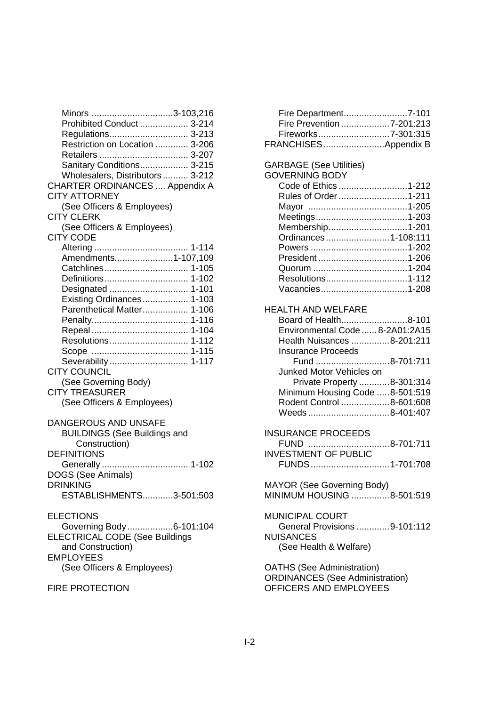| Minors 3-103,216                               |
|------------------------------------------------|
| Prohibited Conduct  3-214                      |
| Regulations 3-213                              |
| Restriction on Location  3-206                 |
|                                                |
| Sanitary Conditions 3-215                      |
| Wholesalers, Distributors  3-212               |
| <b>CHARTER ORDINANCES  Appendix A</b>          |
| <b>CITY ATTORNEY</b>                           |
| (See Officers & Employees)                     |
| <b>CITY CLERK</b>                              |
| (See Officers & Employees)                     |
| <b>CITY CODE</b>                               |
|                                                |
| Amendments1-107,109                            |
|                                                |
|                                                |
|                                                |
| Designated  1-101<br>Existing Ordinances 1-103 |
| Parenthetical Matter 1-106                     |
|                                                |
|                                                |
|                                                |
| Resolutions 1-112                              |
|                                                |
| Severability 1-117                             |
| <b>CITY COUNCIL</b>                            |
| (See Governing Body)                           |
| <b>CITY TREASURER</b>                          |
| (See Officers & Employees)                     |
|                                                |
| DANGEROUS AND UNSAFE                           |
| <b>BUILDINGS (See Buildings and</b>            |
| Construction)                                  |
| <b>DEFINITIONS</b>                             |
|                                                |
| DOGS (See Animals)                             |
| <b>DRINKING</b>                                |
| ESTABLISHMENTS3-501:503                        |
|                                                |
| <b>ELECTIONS</b>                               |
| Governing Body6-101:104                        |
| ELECTRICAL CODE (See Buildings                 |
| and Construction)                              |
| <b>EMPLOYEES</b>                               |
| (See Officers & Employees)                     |
|                                                |

## FIRE PROTECTION

| Fire Department7-101                   |  |
|----------------------------------------|--|
| Fire Prevention 7-201:213              |  |
| Fireworks7-301:315                     |  |
| FRANCHISESAppendix B                   |  |
|                                        |  |
| <b>GARBAGE (See Utilities)</b>         |  |
| <b>GOVERNING BODY</b>                  |  |
| Code of Ethics 1-212                   |  |
| Rules of Order 1-211                   |  |
|                                        |  |
|                                        |  |
| Membership1-201                        |  |
| Ordinances1-108:111                    |  |
|                                        |  |
|                                        |  |
|                                        |  |
| Resolutions1-112                       |  |
| Vacancies1-208                         |  |
|                                        |  |
| <b>HEALTH AND WELFARE</b>              |  |
| Board of Health8-101                   |  |
| Environmental Code  8-2A01:2A15        |  |
| Health Nuisances 8-201:211             |  |
| <b>Insurance Proceeds</b>              |  |
| Fund 8-701:711                         |  |
| Junked Motor Vehicles on               |  |
| Private Property 8-301:314             |  |
| Minimum Housing Code 8-501:519         |  |
| Rodent Control 8-601:608               |  |
| Weeds 8-401:407                        |  |
|                                        |  |
| <b>INSURANCE PROCEEDS</b>              |  |
| $8-701:711$<br>FUND                    |  |
| <b>INVESTMENT OF PUBLIC</b>            |  |
| FUNDS1-701:708                         |  |
|                                        |  |
| MAYOR (See Governing Body)             |  |
| MINIMUM HOUSING 8-501:519              |  |
|                                        |  |
| <b>MUNICIPAL COURT</b>                 |  |
| General Provisions 9-101:112           |  |
| <b>NUISANCES</b>                       |  |
| (See Health & Welfare)                 |  |
|                                        |  |
| <b>OATHS (See Administration)</b>      |  |
| <b>ORDINANCES</b> (See Administration) |  |
|                                        |  |

OFFICERS AND EMPLOYEES